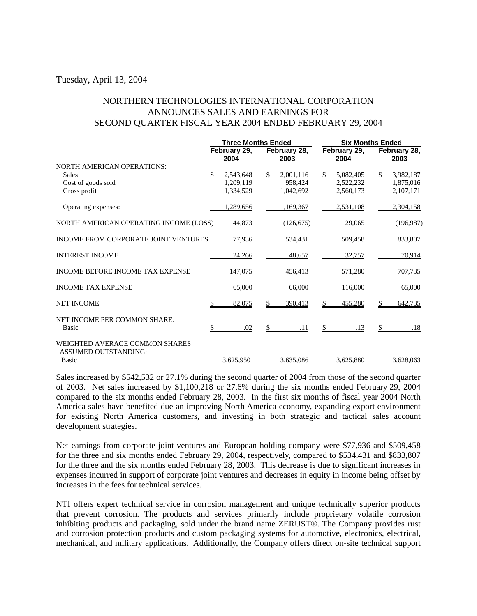## Tuesday, April 13, 2004

## NORTHERN TECHNOLOGIES INTERNATIONAL CORPORATION ANNOUNCES SALES AND EARNINGS FOR SECOND QUARTER FISCAL YEAR 2004 ENDED FEBRUARY 29, 2004

|                                                                               | <b>Three Months Ended</b> |                      |    |                      | <b>Six Months Ended</b> |                      |    |                      |
|-------------------------------------------------------------------------------|---------------------------|----------------------|----|----------------------|-------------------------|----------------------|----|----------------------|
|                                                                               |                           | February 29,<br>2004 |    | February 28,<br>2003 |                         | February 29,<br>2004 |    | February 28,<br>2003 |
| <b>NORTH AMERICAN OPERATIONS:</b>                                             |                           |                      |    |                      |                         |                      |    |                      |
| <b>Sales</b>                                                                  | \$                        | 2,543,648            | \$ | 2,001,116            | \$                      | 5,082,405            | \$ | 3,982,187            |
| Cost of goods sold                                                            |                           | 1,209,119            |    | 958,424              |                         | 2,522,232            |    | 1,875,016            |
| Gross profit                                                                  |                           | 1,334,529            |    | 1,042,692            |                         | 2,560,173            |    | 2,107,171            |
| Operating expenses:                                                           |                           | 1,289,656            |    | 1,169,367            |                         | 2,531,108            |    | 2,304,158            |
| NORTH AMERICAN OPERATING INCOME (LOSS)                                        |                           | 44,873               |    | (126, 675)           |                         | 29,065               |    | (196,987)            |
| <b>INCOME FROM CORPORATE JOINT VENTURES</b>                                   |                           | 77.936               |    | 534.431              |                         | 509,458              |    | 833,807              |
| <b>INTEREST INCOME</b>                                                        |                           | 24,266               |    | 48,657               |                         | 32.757               |    | 70,914               |
| <b>INCOME BEFORE INCOME TAX EXPENSE</b>                                       |                           | 147,075              |    | 456,413              |                         | 571,280              |    | 707,735              |
| <b>INCOME TAX EXPENSE</b>                                                     |                           | 65,000               |    | 66,000               |                         | 116,000              |    | 65,000               |
| <b>NET INCOME</b>                                                             |                           | 82,075               |    | 390,413              | \$                      | 455,280              |    | 642,735              |
| NET INCOME PER COMMON SHARE:<br>Basic                                         |                           | .02                  |    | .11                  |                         | .13                  |    | .18                  |
| WEIGHTED AVERAGE COMMON SHARES<br><b>ASSUMED OUTSTANDING:</b><br><b>Basic</b> |                           | 3,625,950            |    | 3,635,086            |                         | 3,625,880            |    | 3,628,063            |

Sales increased by \$542,532 or 27.1% during the second quarter of 2004 from those of the second quarter of 2003. Net sales increased by \$1,100,218 or 27.6% during the six months ended February 29, 2004 compared to the six months ended February 28, 2003. In the first six months of fiscal year 2004 North America sales have benefited due an improving North America economy, expanding export environment for existing North America customers, and investing in both strategic and tactical sales account development strategies.

Net earnings from corporate joint ventures and European holding company were \$77,936 and \$509,458 for the three and six months ended February 29, 2004, respectively, compared to \$534,431 and \$833,807 for the three and the six months ended February 28, 2003. This decrease is due to significant increases in expenses incurred in support of corporate joint ventures and decreases in equity in income being offset by increases in the fees for technical services.

NTI offers expert technical service in corrosion management and unique technically superior products that prevent corrosion. The products and services primarily include proprietary volatile corrosion inhibiting products and packaging, sold under the brand name ZERUST®. The Company provides rust and corrosion protection products and custom packaging systems for automotive, electronics, electrical, mechanical, and military applications. Additionally, the Company offers direct on-site technical support